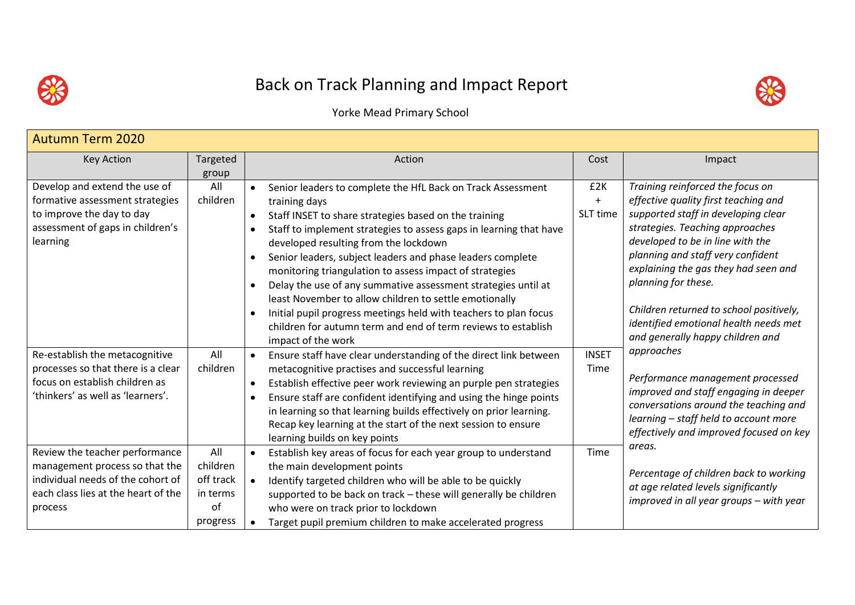

## Back on Track Planning and Impact Report



Yorke Mead Primary School

| <b>Autumn Term 2020</b>                                             |           |                                                                                                              |              |                                                                                  |
|---------------------------------------------------------------------|-----------|--------------------------------------------------------------------------------------------------------------|--------------|----------------------------------------------------------------------------------|
| <b>Key Action</b>                                                   | Targeted  | Action                                                                                                       | Cost         | Impact                                                                           |
|                                                                     | group     |                                                                                                              |              |                                                                                  |
| Develop and extend the use of                                       | All       | Senior leaders to complete the HfL Back on Track Assessment<br>$\bullet$                                     | £2K          | Training reinforced the focus on                                                 |
| formative assessment strategies                                     | children  | training days                                                                                                | $+$          | effective quality first teaching and                                             |
| to improve the day to day                                           |           | Staff INSET to share strategies based on the training<br>$\bullet$                                           | SLT time     | supported staff in developing clear                                              |
| assessment of gaps in children's                                    |           | Staff to implement strategies to assess gaps in learning that have<br>$\bullet$                              |              | strategies. Teaching approaches                                                  |
| learning                                                            |           | developed resulting from the lockdown                                                                        |              | developed to be in line with the                                                 |
|                                                                     |           | Senior leaders, subject leaders and phase leaders complete<br>$\bullet$                                      |              | planning and staff very confident                                                |
|                                                                     |           | monitoring triangulation to assess impact of strategies                                                      |              | explaining the gas they had seen and                                             |
|                                                                     |           | Delay the use of any summative assessment strategies until at<br>$\bullet$                                   |              | planning for these.                                                              |
|                                                                     |           | least November to allow children to settle emotionally                                                       |              |                                                                                  |
|                                                                     |           | Initial pupil progress meetings held with teachers to plan focus<br>$\bullet$                                |              | Children returned to school positively,<br>identified emotional health needs met |
|                                                                     |           | children for autumn term and end of term reviews to establish                                                |              | and generally happy children and                                                 |
|                                                                     |           | impact of the work                                                                                           |              | approaches                                                                       |
| Re-establish the metacognitive                                      | All       | Ensure staff have clear understanding of the direct link between<br>$\bullet$                                | <b>INSET</b> |                                                                                  |
| processes so that there is a clear                                  | children  | metacognitive practises and successful learning                                                              | Time         | Performance management processed                                                 |
| focus on establish children as<br>'thinkers' as well as 'learners'. |           | Establish effective peer work reviewing an purple pen strategies<br>$\bullet$                                |              | improved and staff engaging in deeper                                            |
|                                                                     |           | Ensure staff are confident identifying and using the hinge points<br>$\bullet$                               |              | conversations around the teaching and                                            |
|                                                                     |           | in learning so that learning builds effectively on prior learning.                                           |              | learning - staff held to account more                                            |
|                                                                     |           | Recap key learning at the start of the next session to ensure                                                |              | effectively and improved focused on key                                          |
| Review the teacher performance                                      | All       | learning builds on key points<br>Establish key areas of focus for each year group to understand<br>$\bullet$ | Time         | areas.                                                                           |
| management process so that the                                      | children  |                                                                                                              |              |                                                                                  |
| individual needs of the cohort of                                   | off track | the main development points<br>Identify targeted children who will be able to be quickly                     |              | Percentage of children back to working                                           |
| each class lies at the heart of the                                 | in terms  | supported to be back on track - these will generally be children                                             |              | at age related levels significantly                                              |
| process                                                             | of        | who were on track prior to lockdown                                                                          |              | improved in all year groups – with year                                          |
|                                                                     | progress  | Target pupil premium children to make accelerated progress<br>$\bullet$                                      |              |                                                                                  |
|                                                                     |           |                                                                                                              |              |                                                                                  |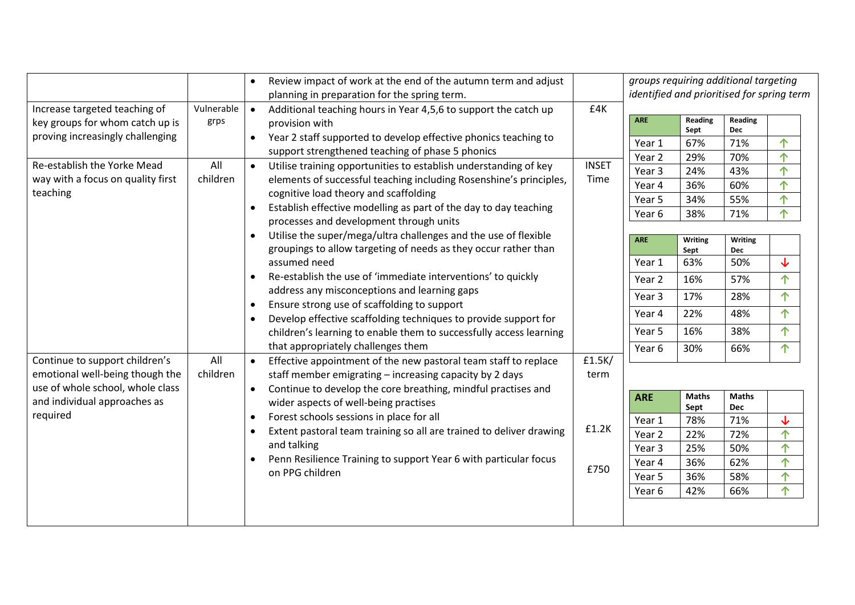|                                                                              |            | $\bullet$ | Review impact of work at the end of the autumn term and adjust<br>planning in preparation for the spring term.                                                                                                                     |               | groups requiring additional targeting<br>identified and prioritised for spring term |                      |                     |                    |  |  |  |
|------------------------------------------------------------------------------|------------|-----------|------------------------------------------------------------------------------------------------------------------------------------------------------------------------------------------------------------------------------------|---------------|-------------------------------------------------------------------------------------|----------------------|---------------------|--------------------|--|--|--|
| Increase targeted teaching of                                                | Vulnerable | $\bullet$ | Additional teaching hours in Year 4,5,6 to support the catch up                                                                                                                                                                    | £4K           |                                                                                     |                      |                     |                    |  |  |  |
| key groups for whom catch up is                                              | grps       |           | provision with                                                                                                                                                                                                                     |               | <b>ARE</b>                                                                          | Reading<br>Sept      | Reading<br>Dec      |                    |  |  |  |
| proving increasingly challenging                                             |            |           | Year 2 staff supported to develop effective phonics teaching to                                                                                                                                                                    |               | Year 1                                                                              | 67%                  | 71%                 | 个                  |  |  |  |
|                                                                              |            |           | support strengthened teaching of phase 5 phonics                                                                                                                                                                                   |               | Year 2                                                                              | 29%                  | 70%                 | 个                  |  |  |  |
| Re-establish the Yorke Mead                                                  | All        | $\bullet$ | Utilise training opportunities to establish understanding of key                                                                                                                                                                   | <b>INSET</b>  | Year 3                                                                              | 24%                  | 43%                 | ↑                  |  |  |  |
| way with a focus on quality first                                            | children   |           | elements of successful teaching including Rosenshine's principles,                                                                                                                                                                 | Time          | Year 4                                                                              | 36%                  | 60%                 | 个                  |  |  |  |
| teaching                                                                     |            |           | cognitive load theory and scaffolding                                                                                                                                                                                              |               | Year 5                                                                              | 34%                  | 55%                 | 个                  |  |  |  |
|                                                                              |            | $\bullet$ | Establish effective modelling as part of the day to day teaching                                                                                                                                                                   |               | Year 6                                                                              | 38%                  | 71%                 | 个                  |  |  |  |
|                                                                              |            |           | processes and development through units                                                                                                                                                                                            |               |                                                                                     |                      |                     |                    |  |  |  |
|                                                                              |            |           | Utilise the super/mega/ultra challenges and the use of flexible                                                                                                                                                                    |               | <b>ARE</b>                                                                          | Writing              | Writing             |                    |  |  |  |
|                                                                              |            |           | groupings to allow targeting of needs as they occur rather than                                                                                                                                                                    |               |                                                                                     | Sept                 | Dec                 |                    |  |  |  |
|                                                                              |            |           | assumed need<br>Re-establish the use of 'immediate interventions' to quickly<br>$\bullet$                                                                                                                                          |               | Year 1                                                                              | 63%                  | 50%                 | ↓                  |  |  |  |
|                                                                              |            |           |                                                                                                                                                                                                                                    |               | Year 2                                                                              | 16%                  | 57%                 | 个                  |  |  |  |
|                                                                              |            |           | address any misconceptions and learning gaps                                                                                                                                                                                       |               | Year 3                                                                              | 17%                  | 28%                 | ↑                  |  |  |  |
|                                                                              |            | $\bullet$ | Ensure strong use of scaffolding to support<br>Develop effective scaffolding techniques to provide support for<br>$\bullet$<br>children's learning to enable them to successfully access learning                                  |               | Year 4                                                                              | 22%                  | 48%                 | 个                  |  |  |  |
|                                                                              |            |           |                                                                                                                                                                                                                                    |               |                                                                                     |                      |                     |                    |  |  |  |
|                                                                              |            |           |                                                                                                                                                                                                                                    |               | Year 5                                                                              | 16%                  | 38%                 | 个                  |  |  |  |
|                                                                              |            |           | that appropriately challenges them                                                                                                                                                                                                 |               | Year 6                                                                              | 30%                  | 66%                 | 个                  |  |  |  |
| Continue to support children's                                               | All        | $\bullet$ | Effective appointment of the new pastoral team staff to replace                                                                                                                                                                    | £1.5K/        |                                                                                     |                      |                     |                    |  |  |  |
| emotional well-being though the                                              | children   |           | staff member emigrating - increasing capacity by 2 days                                                                                                                                                                            | term          |                                                                                     |                      |                     |                    |  |  |  |
| use of whole school, whole class<br>and individual approaches as<br>required |            | $\bullet$ | Continue to develop the core breathing, mindful practises and<br>wider aspects of well-being practises                                                                                                                             |               | <b>ARE</b>                                                                          | <b>Maths</b><br>Sept | <b>Maths</b><br>Dec |                    |  |  |  |
|                                                                              |            | $\bullet$ | Forest schools sessions in place for all<br>Extent pastoral team training so all are trained to deliver drawing<br>$\bullet$<br>and talking<br>Penn Resilience Training to support Year 6 with particular focus<br>on PPG children |               | Year 1                                                                              | 78%                  | 71%                 | ↓                  |  |  |  |
|                                                                              |            |           |                                                                                                                                                                                                                                    | £1.2K<br>£750 | Year 2                                                                              | 22%                  | 72%                 | 个                  |  |  |  |
|                                                                              |            |           |                                                                                                                                                                                                                                    |               | Year 3                                                                              | 25%                  | 50%                 | ↑                  |  |  |  |
|                                                                              |            |           |                                                                                                                                                                                                                                    |               | Year 4                                                                              | 36%                  | 62%                 | $\hat{\mathsf{T}}$ |  |  |  |
|                                                                              |            |           |                                                                                                                                                                                                                                    |               | Year 5                                                                              | 36%                  | 58%                 | 个                  |  |  |  |
|                                                                              |            |           |                                                                                                                                                                                                                                    |               | Year 6                                                                              | 42%                  | 66%                 | 个                  |  |  |  |
|                                                                              |            |           |                                                                                                                                                                                                                                    |               |                                                                                     |                      |                     |                    |  |  |  |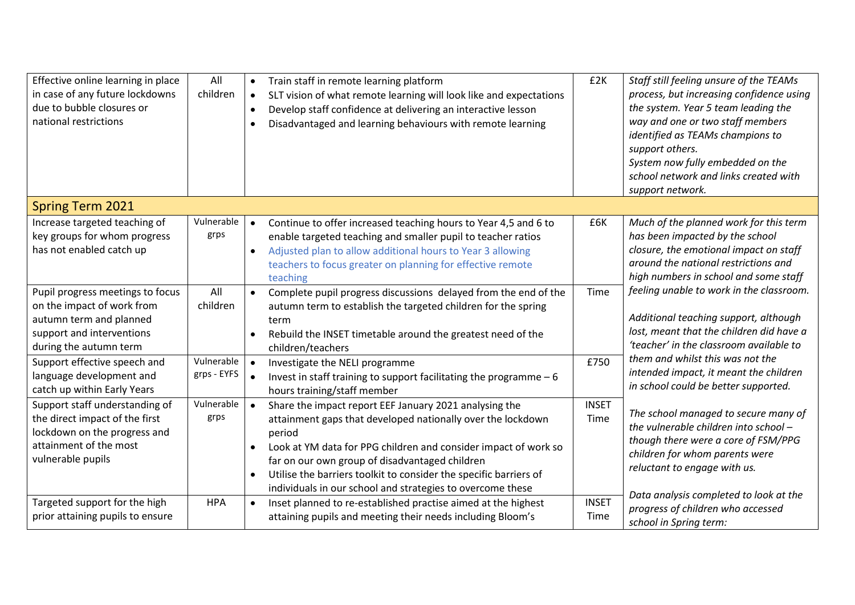| Effective online learning in place<br>in case of any future lockdowns<br>due to bubble closures or<br>national restrictions                      | All<br>children           | $\bullet$<br>$\bullet$<br>$\bullet$<br>$\bullet$ | Train staff in remote learning platform<br>SLT vision of what remote learning will look like and expectations<br>Develop staff confidence at delivering an interactive lesson<br>Disadvantaged and learning behaviours with remote learning                                                                                                                                             | £2K                  | Staff still feeling unsure of the TEAMs<br>process, but increasing confidence using<br>the system. Year 5 team leading the<br>way and one or two staff members<br>identified as TEAMs champions to<br>support others.<br>System now fully embedded on the<br>school network and links created with<br>support network. |
|--------------------------------------------------------------------------------------------------------------------------------------------------|---------------------------|--------------------------------------------------|-----------------------------------------------------------------------------------------------------------------------------------------------------------------------------------------------------------------------------------------------------------------------------------------------------------------------------------------------------------------------------------------|----------------------|------------------------------------------------------------------------------------------------------------------------------------------------------------------------------------------------------------------------------------------------------------------------------------------------------------------------|
| <b>Spring Term 2021</b>                                                                                                                          |                           |                                                  |                                                                                                                                                                                                                                                                                                                                                                                         |                      |                                                                                                                                                                                                                                                                                                                        |
| Increase targeted teaching of<br>key groups for whom progress<br>has not enabled catch up                                                        | Vulnerable<br>grps        | $\bullet$<br>$\bullet$                           | Continue to offer increased teaching hours to Year 4,5 and 6 to<br>enable targeted teaching and smaller pupil to teacher ratios<br>Adjusted plan to allow additional hours to Year 3 allowing<br>teachers to focus greater on planning for effective remote<br>teaching                                                                                                                 | £6K                  | Much of the planned work for this term<br>has been impacted by the school<br>closure, the emotional impact on staff<br>around the national restrictions and<br>high numbers in school and some staff                                                                                                                   |
| Pupil progress meetings to focus<br>on the impact of work from<br>autumn term and planned<br>support and interventions<br>during the autumn term | All<br>children           | $\bullet$                                        | Complete pupil progress discussions delayed from the end of the<br>autumn term to establish the targeted children for the spring<br>term<br>Rebuild the INSET timetable around the greatest need of the<br>children/teachers                                                                                                                                                            | Time                 | feeling unable to work in the classroom.<br>Additional teaching support, although<br>lost, meant that the children did have a<br>'teacher' in the classroom available to                                                                                                                                               |
| Support effective speech and<br>language development and<br>catch up within Early Years                                                          | Vulnerable<br>grps - EYFS | $\bullet$<br>$\bullet$                           | Investigate the NELI programme<br>Invest in staff training to support facilitating the programme $-6$<br>hours training/staff member                                                                                                                                                                                                                                                    | £750                 | them and whilst this was not the<br>intended impact, it meant the children<br>in school could be better supported.                                                                                                                                                                                                     |
| Support staff understanding of<br>the direct impact of the first<br>lockdown on the progress and<br>attainment of the most<br>vulnerable pupils  | Vulnerable<br>grps        | $\bullet$<br>$\bullet$<br>$\bullet$              | Share the impact report EEF January 2021 analysing the<br>attainment gaps that developed nationally over the lockdown<br>period<br>Look at YM data for PPG children and consider impact of work so<br>far on our own group of disadvantaged children<br>Utilise the barriers toolkit to consider the specific barriers of<br>individuals in our school and strategies to overcome these | <b>INSET</b><br>Time | The school managed to secure many of<br>the vulnerable children into school -<br>though there were a core of FSM/PPG<br>children for whom parents were<br>reluctant to engage with us.                                                                                                                                 |
| Targeted support for the high<br>prior attaining pupils to ensure                                                                                | <b>HPA</b>                | $\bullet$                                        | Inset planned to re-established practise aimed at the highest<br>attaining pupils and meeting their needs including Bloom's                                                                                                                                                                                                                                                             | <b>INSET</b><br>Time | Data analysis completed to look at the<br>progress of children who accessed<br>school in Spring term:                                                                                                                                                                                                                  |